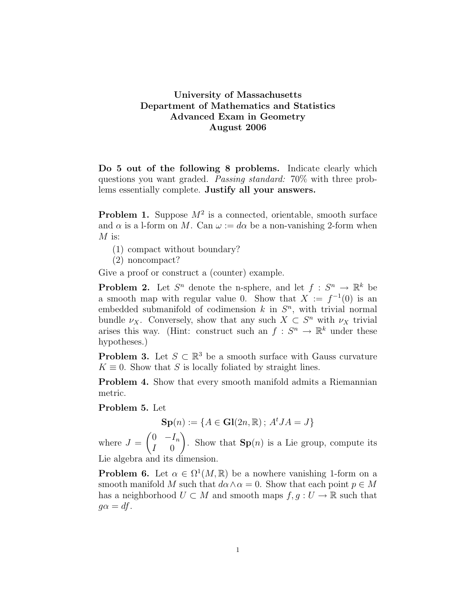## University of Massachusetts Department of Mathematics and Statistics Advanced Exam in Geometry August 2006

Do 5 out of the following 8 problems. Indicate clearly which questions you want graded. Passing standard: 70% with three problems essentially complete. Justify all your answers.

**Problem 1.** Suppose  $M^2$  is a connected, orientable, smooth surface and  $\alpha$  is a l-form on M. Can  $\omega := d\alpha$  be a non-vanishing 2-form when  $M$  is:

- (1) compact without boundary?
- (2) noncompact?

Give a proof or construct a (counter) example.

**Problem 2.** Let  $S^n$  denote the n-sphere, and let  $f : S^n \to \mathbb{R}^k$  be a smooth map with regular value 0. Show that  $X := f^{-1}(0)$  is an embedded submanifold of codimension  $k$  in  $S<sup>n</sup>$ , with trivial normal bundle  $\nu_X$ . Conversely, show that any such  $X \subset S^n$  with  $\nu_X$  trivial arises this way. (Hint: construct such an  $f: S^n \to \mathbb{R}^k$  under these hypotheses.)

**Problem 3.** Let  $S \subset \mathbb{R}^3$  be a smooth surface with Gauss curvature  $K \equiv 0$ . Show that S is locally foliated by straight lines.

Problem 4. Show that every smooth manifold admits a Riemannian metric.

## Problem 5. Let

 $\mathbf{Sp}(n) := \{ A \in \mathbf{Gl}(2n, \mathbb{R}) \, ; \, A^tJA = J \}$ 

where  $J =$  $\int 0$  –  $I_n$  $I \quad 0$  $\setminus$ . Show that  $\mathbf{Sp}(n)$  is a Lie group, compute its Lie algebra and its dimension.

**Problem 6.** Let  $\alpha \in \Omega^1(M,\mathbb{R})$  be a nowhere vanishing 1-form on a smooth manifold M such that  $d\alpha \wedge \alpha = 0$ . Show that each point  $p \in M$ has a neighborhood  $U \subset M$  and smooth maps  $f, g : U \to \mathbb{R}$  such that  $q\alpha = df$ .